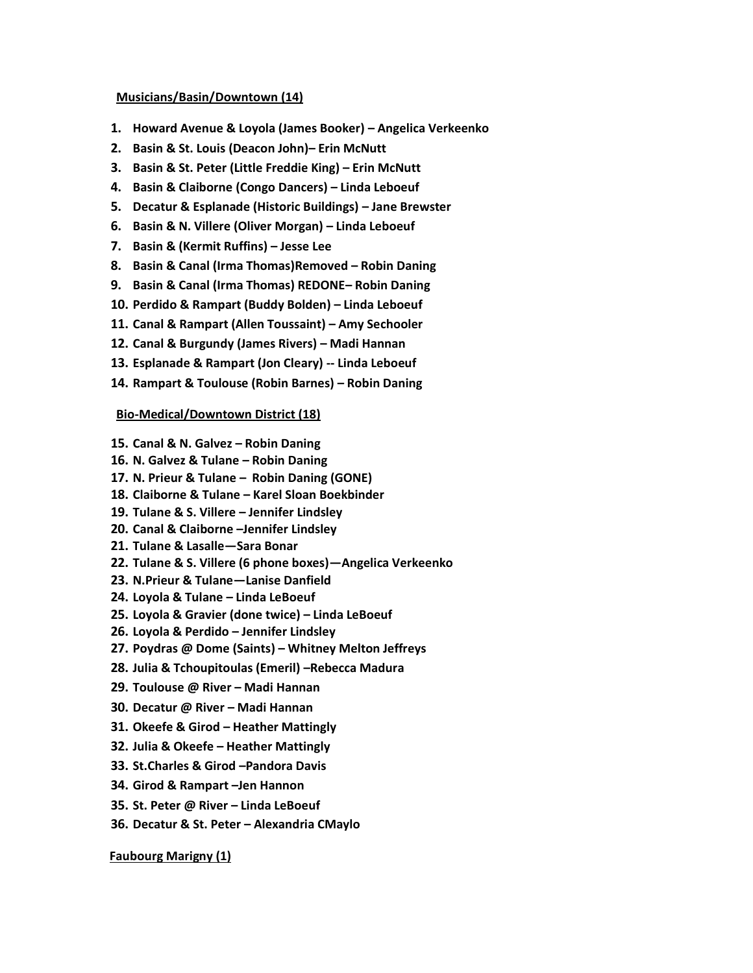### **Musicians/Basin/Downtown (14)**

- **1. Howard Avenue & Loyola (James Booker) – Angelica Verkeenko**
- **2. Basin & St. Louis (Deacon John)– Erin McNutt**
- **3. Basin & St. Peter (Little Freddie King) – Erin McNutt**
- **4. Basin & Claiborne (Congo Dancers) – Linda Leboeuf**
- **5. Decatur & Esplanade (Historic Buildings) – Jane Brewster**
- **6. Basin & N. Villere (Oliver Morgan) – Linda Leboeuf**
- **7. Basin & (Kermit Ruffins) – Jesse Lee**
- **8. Basin & Canal (Irma Thomas)Removed – Robin Daning**
- **9. Basin & Canal (Irma Thomas) REDONE– Robin Daning**
- **10. Perdido & Rampart (Buddy Bolden) – Linda Leboeuf**
- **11. Canal & Rampart (Allen Toussaint) – Amy Sechooler**
- **12. Canal & Burgundy (James Rivers) – Madi Hannan**
- **13. Esplanade & Rampart (Jon Cleary) -- Linda Leboeuf**
- **14. Rampart & Toulouse (Robin Barnes) – Robin Daning**

### **Bio-Medical/Downtown District (18)**

- **15. Canal & N. Galvez – Robin Daning**
- **16. N. Galvez & Tulane – Robin Daning**
- **17. N. Prieur & Tulane – Robin Daning (GONE)**
- **18. Claiborne & Tulane – Karel Sloan Boekbinder**
- **19. Tulane & S. Villere – Jennifer Lindsley**
- **20. Canal & Claiborne –Jennifer Lindsley**
- **21. Tulane & Lasalle—Sara Bonar**
- **22. Tulane & S. Villere (6 phone boxes)—Angelica Verkeenko**
- **23. N.Prieur & Tulane—Lanise Danfield**
- **24. Loyola & Tulane – Linda LeBoeuf**
- **25. Loyola & Gravier (done twice) – Linda LeBoeuf**
- **26. Loyola & Perdido – Jennifer Lindsley**
- **27. Poydras @ Dome (Saints) – Whitney Melton Jeffreys**
- **28. Julia & Tchoupitoulas (Emeril) –Rebecca Madura**
- **29. Toulouse @ River – Madi Hannan**
- **30. Decatur @ River – Madi Hannan**
- **31. Okeefe & Girod – Heather Mattingly**
- **32. Julia & Okeefe – Heather Mattingly**
- **33. St.Charles & Girod –Pandora Davis**
- **34. Girod & Rampart –Jen Hannon**
- **35. St. Peter @ River – Linda LeBoeuf**
- **36. Decatur & St. Peter – Alexandria CMaylo**

#### **Faubourg Marigny (1)**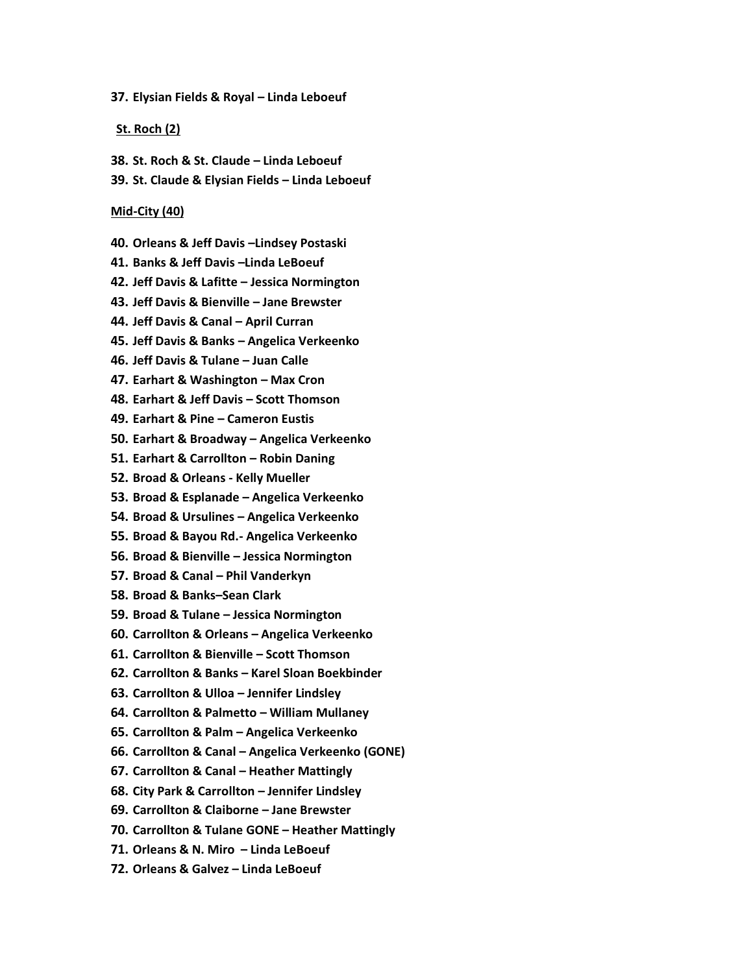**37. Elysian Fields & Royal – Linda Leboeuf**

#### **St. Roch (2)**

- **38. St. Roch & St. Claude – Linda Leboeuf**
- **39. St. Claude & Elysian Fields – Linda Leboeuf**

#### **Mid-City (40)**

- **40. Orleans & Jeff Davis –Lindsey Postaski**
- **41. Banks & Jeff Davis –Linda LeBoeuf**
- **42. Jeff Davis & Lafitte – Jessica Normington**
- **43. Jeff Davis & Bienville – Jane Brewster**
- **44. Jeff Davis & Canal – April Curran**
- **45. Jeff Davis & Banks – Angelica Verkeenko**
- **46. Jeff Davis & Tulane – Juan Calle**
- **47. Earhart & Washington – Max Cron**
- **48. Earhart & Jeff Davis – Scott Thomson**
- **49. Earhart & Pine – Cameron Eustis**
- **50. Earhart & Broadway – Angelica Verkeenko**
- **51. Earhart & Carrollton – Robin Daning**
- **52. Broad & Orleans - Kelly Mueller**
- **53. Broad & Esplanade – Angelica Verkeenko**
- **54. Broad & Ursulines – Angelica Verkeenko**
- **55. Broad & Bayou Rd.- Angelica Verkeenko**
- **56. Broad & Bienville – Jessica Normington**
- **57. Broad & Canal – Phil Vanderkyn**
- **58. Broad & Banks–Sean Clark**
- **59. Broad & Tulane – Jessica Normington**
- **60. Carrollton & Orleans – Angelica Verkeenko**
- **61. Carrollton & Bienville – Scott Thomson**
- **62. Carrollton & Banks – Karel Sloan Boekbinder**
- **63. Carrollton & Ulloa – Jennifer Lindsley**
- **64. Carrollton & Palmetto – William Mullaney**
- **65. Carrollton & Palm – Angelica Verkeenko**
- **66. Carrollton & Canal – Angelica Verkeenko (GONE)**
- **67. Carrollton & Canal – Heather Mattingly**
- **68. City Park & Carrollton – Jennifer Lindsley**
- **69. Carrollton & Claiborne – Jane Brewster**
- **70. Carrollton & Tulane GONE – Heather Mattingly**
- **71. Orleans & N. Miro – Linda LeBoeuf**
- **72. Orleans & Galvez – Linda LeBoeuf**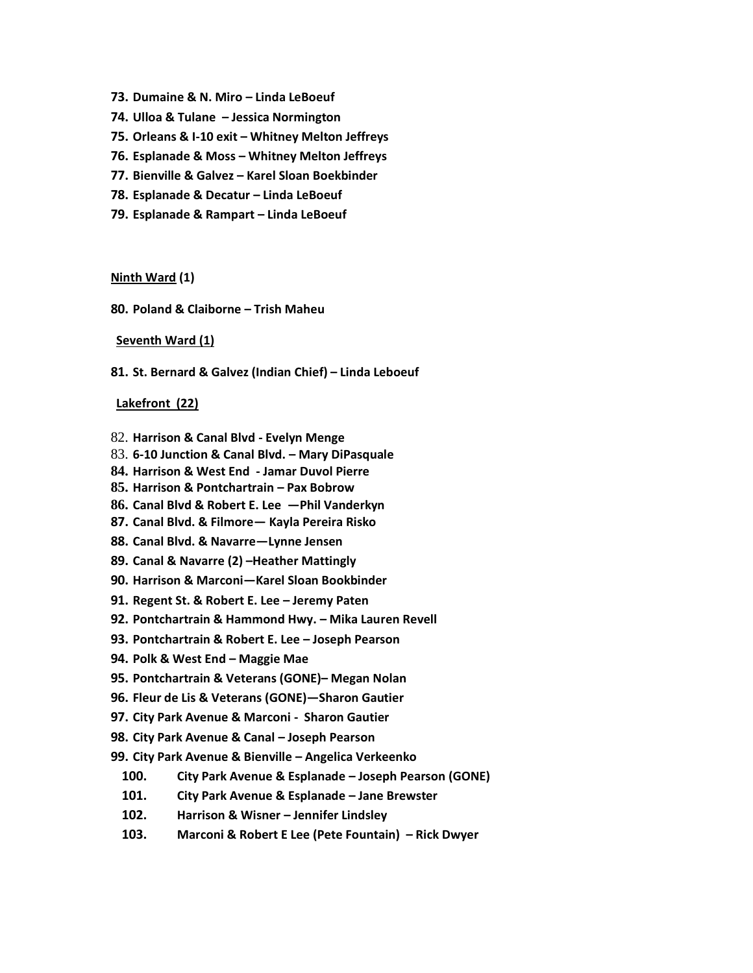- **73. Dumaine & N. Miro – Linda LeBoeuf**
- **74. Ulloa & Tulane – Jessica Normington**
- **75. Orleans & I-10 exit – Whitney Melton Jeffreys**
- **76. Esplanade & Moss – Whitney Melton Jeffreys**
- **77. Bienville & Galvez – Karel Sloan Boekbinder**
- **78. Esplanade & Decatur – Linda LeBoeuf**
- **79. Esplanade & Rampart – Linda LeBoeuf**

#### **Ninth Ward (1)**

**80. Poland & Claiborne – Trish Maheu**

#### **Seventh Ward (1)**

**81. St. Bernard & Galvez (Indian Chief) – Linda Leboeuf**

#### **Lakefront (22)**

- 82. **Harrison & Canal Blvd - Evelyn Menge**
- 83. **6-10 Junction & Canal Blvd. – Mary DiPasquale**
- **84. Harrison & West End - Jamar Duvol Pierre**
- **85. Harrison & Pontchartrain – Pax Bobrow**
- **86. Canal Blvd & Robert E. Lee —Phil Vanderkyn**
- **87. Canal Blvd. & Filmore— Kayla Pereira Risko**
- **88. Canal Blvd. & Navarre—Lynne Jensen**
- **89. Canal & Navarre (2) –Heather Mattingly**
- **90. Harrison & Marconi—Karel Sloan Bookbinder**
- **91. Regent St. & Robert E. Lee – Jeremy Paten**
- **92. Pontchartrain & Hammond Hwy. – Mika Lauren Revell**
- **93. Pontchartrain & Robert E. Lee – Joseph Pearson**
- **94. Polk & West End – Maggie Mae**
- **95. Pontchartrain & Veterans (GONE)– Megan Nolan**
- **96. Fleur de Lis & Veterans (GONE)—Sharon Gautier**
- **97. City Park Avenue & Marconi Sharon Gautier**
- **98. City Park Avenue & Canal – Joseph Pearson**
- **99. City Park Avenue & Bienville – Angelica Verkeenko**
	- **100. City Park Avenue & Esplanade – Joseph Pearson (GONE)**
	- **101. City Park Avenue & Esplanade – Jane Brewster**
	- **102. Harrison & Wisner – Jennifer Lindsley**
	- **103. Marconi & Robert E Lee (Pete Fountain) – Rick Dwyer**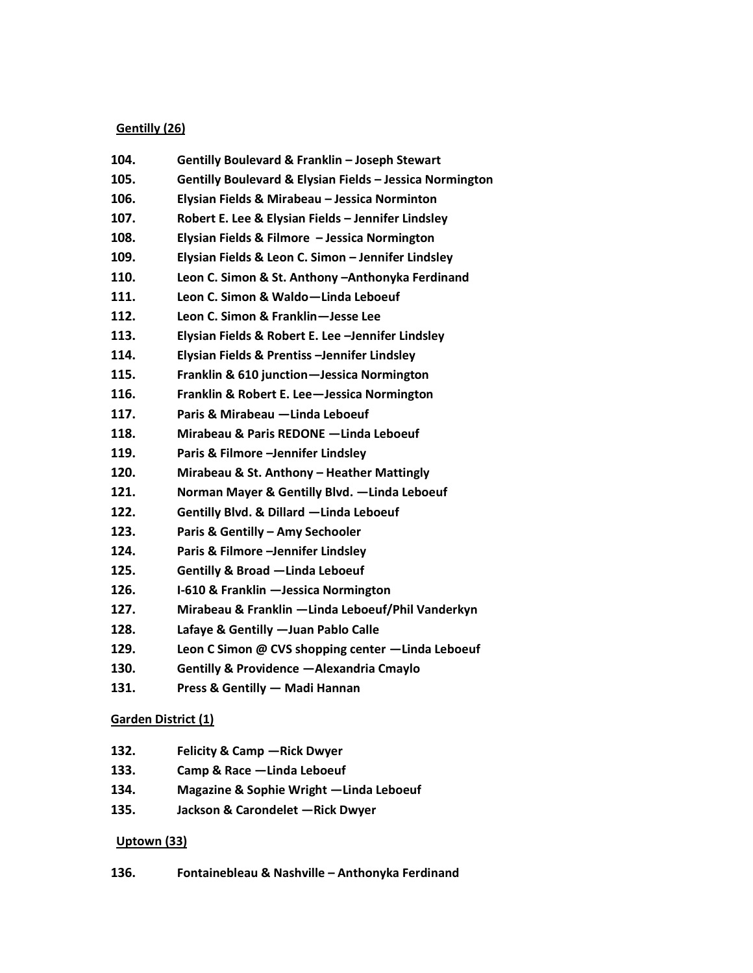### **Gentilly (26)**

- **104. Gentilly Boulevard & Franklin – Joseph Stewart 105. Gentilly Boulevard & Elysian Fields – Jessica Normington 106. Elysian Fields & Mirabeau – Jessica Norminton 107. Robert E. Lee & Elysian Fields – Jennifer Lindsley 108. Elysian Fields & Filmore – Jessica Normington 109. Elysian Fields & Leon C. Simon – Jennifer Lindsley 110. Leon C. Simon & St. Anthony –Anthonyka Ferdinand 111. Leon C. Simon & Waldo—Linda Leboeuf 112. Leon C. Simon & Franklin—Jesse Lee 113. Elysian Fields & Robert E. Lee –Jennifer Lindsley 114. Elysian Fields & Prentiss –Jennifer Lindsley 115. Franklin & 610 junction—Jessica Normington 116. Franklin & Robert E. Lee—Jessica Normington 117. Paris & Mirabeau —Linda Leboeuf 118. Mirabeau & Paris REDONE —Linda Leboeuf 119. Paris & Filmore –Jennifer Lindsley 120. Mirabeau & St. Anthony – Heather Mattingly 121. Norman Mayer & Gentilly Blvd. —Linda Leboeuf 122. Gentilly Blvd. & Dillard —Linda Leboeuf 123. Paris & Gentilly – Amy Sechooler 124. Paris & Filmore –Jennifer Lindsley**
- **125. Gentilly & Broad —Linda Leboeuf**
- **126. I-610 & Franklin —Jessica Normington**
- **127. Mirabeau & Franklin —Linda Leboeuf/Phil Vanderkyn**
- **128. Lafaye & Gentilly —Juan Pablo Calle**
- **129. Leon C Simon @ CVS shopping center —Linda Leboeuf**
- **130. Gentilly & Providence —Alexandria Cmaylo**
- **131. Press & Gentilly — Madi Hannan**

### **Garden District (1)**

- **132. Felicity & Camp —Rick Dwyer**
- **133. Camp & Race —Linda Leboeuf**
- **134. Magazine & Sophie Wright —Linda Leboeuf**
- **135. Jackson & Carondelet —Rick Dwyer**

### **Uptown (33)**

**136. Fontainebleau & Nashville – Anthonyka Ferdinand**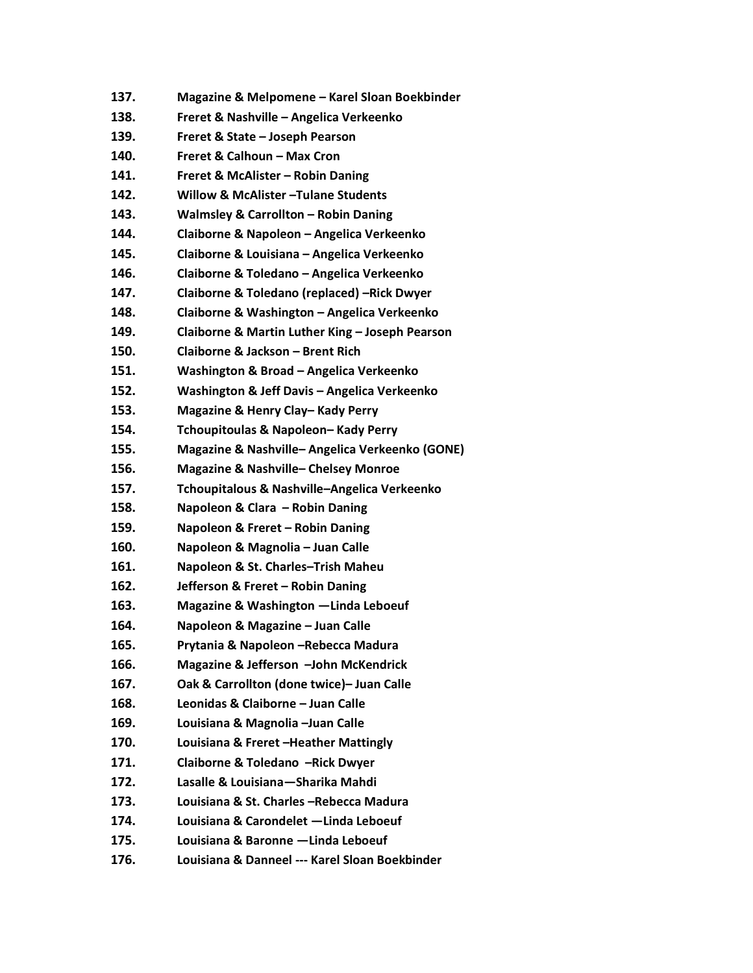- **138. Freret & Nashville – Angelica Verkeenko**
- **139. Freret & State – Joseph Pearson**
- **140. Freret & Calhoun – Max Cron**
- **141. Freret & McAlister – Robin Daning**
- **142. Willow & McAlister –Tulane Students**
- **143. Walmsley & Carrollton – Robin Daning**
- **144. Claiborne & Napoleon – Angelica Verkeenko**
- **145. Claiborne & Louisiana – Angelica Verkeenko**
- **146. Claiborne & Toledano – Angelica Verkeenko**
- **147. Claiborne & Toledano (replaced) –Rick Dwyer**
- **148. Claiborne & Washington – Angelica Verkeenko**
- **149. Claiborne & Martin Luther King – Joseph Pearson**
- **150. Claiborne & Jackson – Brent Rich**
- **151. Washington & Broad – Angelica Verkeenko**
- **152. Washington & Jeff Davis – Angelica Verkeenko**
- **153. Magazine & Henry Clay– Kady Perry**
- **154. Tchoupitoulas & Napoleon– Kady Perry**
- **155. Magazine & Nashville– Angelica Verkeenko (GONE)**
- **156. Magazine & Nashville– Chelsey Monroe**
- **157. Tchoupitalous & Nashville–Angelica Verkeenko**
- **158. Napoleon & Clara – Robin Daning**
- **159. Napoleon & Freret – Robin Daning**
- **160. Napoleon & Magnolia – Juan Calle**
- **161. Napoleon & St. Charles–Trish Maheu**
- **162. Jefferson & Freret – Robin Daning**
- **163. Magazine & Washington —Linda Leboeuf**
- **164. Napoleon & Magazine – Juan Calle**
- **165. Prytania & Napoleon –Rebecca Madura**
- **166. Magazine & Jefferson –John McKendrick**
- **167. Oak & Carrollton (done twice)– Juan Calle**
- **168. Leonidas & Claiborne – Juan Calle**
- **169. Louisiana & Magnolia –Juan Calle**
- **170. Louisiana & Freret –Heather Mattingly**
- **171. Claiborne & Toledano –Rick Dwyer**
- **172. Lasalle & Louisiana—Sharika Mahdi**
- **173. Louisiana & St. Charles –Rebecca Madura**
- **174. Louisiana & Carondelet —Linda Leboeuf**
- **175. Louisiana & Baronne —Linda Leboeuf**
- **176. Louisiana & Danneel --- Karel Sloan Boekbinder**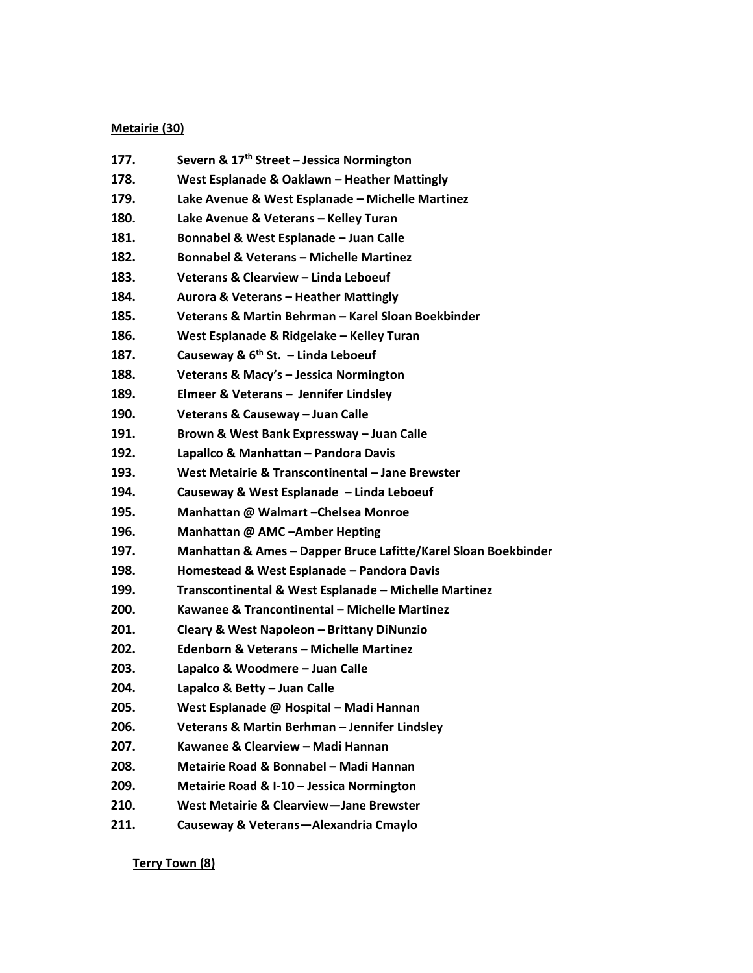### **Metairie (30)**

- **177. Severn & 17th Street – Jessica Normington**
- **178. West Esplanade & Oaklawn – Heather Mattingly**
- **179. Lake Avenue & West Esplanade – Michelle Martinez**
- **180. Lake Avenue & Veterans – Kelley Turan**
- **181. Bonnabel & West Esplanade – Juan Calle**
- **182. Bonnabel & Veterans – Michelle Martinez**
- **183. Veterans & Clearview – Linda Leboeuf**
- **184. Aurora & Veterans – Heather Mattingly**
- **185. Veterans & Martin Behrman – Karel Sloan Boekbinder**
- **186. West Esplanade & Ridgelake – Kelley Turan**
- **187. Causeway & 6th St. – Linda Leboeuf**
- **188. Veterans & Macy's – Jessica Normington**
- **189. Elmeer & Veterans – Jennifer Lindsley**
- **190. Veterans & Causeway – Juan Calle**
- **191. Brown & West Bank Expressway – Juan Calle**
- **192. Lapallco & Manhattan – Pandora Davis**
- **193. West Metairie & Transcontinental – Jane Brewster**
- **194. Causeway & West Esplanade – Linda Leboeuf**
- **195. Manhattan @ Walmart –Chelsea Monroe**
- **196. Manhattan @ AMC –Amber Hepting**
- **197. Manhattan & Ames – Dapper Bruce Lafitte/Karel Sloan Boekbinder**
- **198. Homestead & West Esplanade – Pandora Davis**
- **199. Transcontinental & West Esplanade – Michelle Martinez**
- **200. Kawanee & Trancontinental – Michelle Martinez**
- **201. Cleary & West Napoleon – Brittany DiNunzio**
- **202. Edenborn & Veterans – Michelle Martinez**
- **203. Lapalco & Woodmere – Juan Calle**
- **204. Lapalco & Betty – Juan Calle**
- **205. West Esplanade @ Hospital – Madi Hannan**
- **206. Veterans & Martin Berhman – Jennifer Lindsley**
- **207. Kawanee & Clearview – Madi Hannan**
- **208. Metairie Road & Bonnabel – Madi Hannan**
- **209. Metairie Road & I-10 – Jessica Normington**
- **210. West Metairie & Clearview—Jane Brewster**
- **211. Causeway & Veterans—Alexandria Cmaylo**

**Terry Town (8)**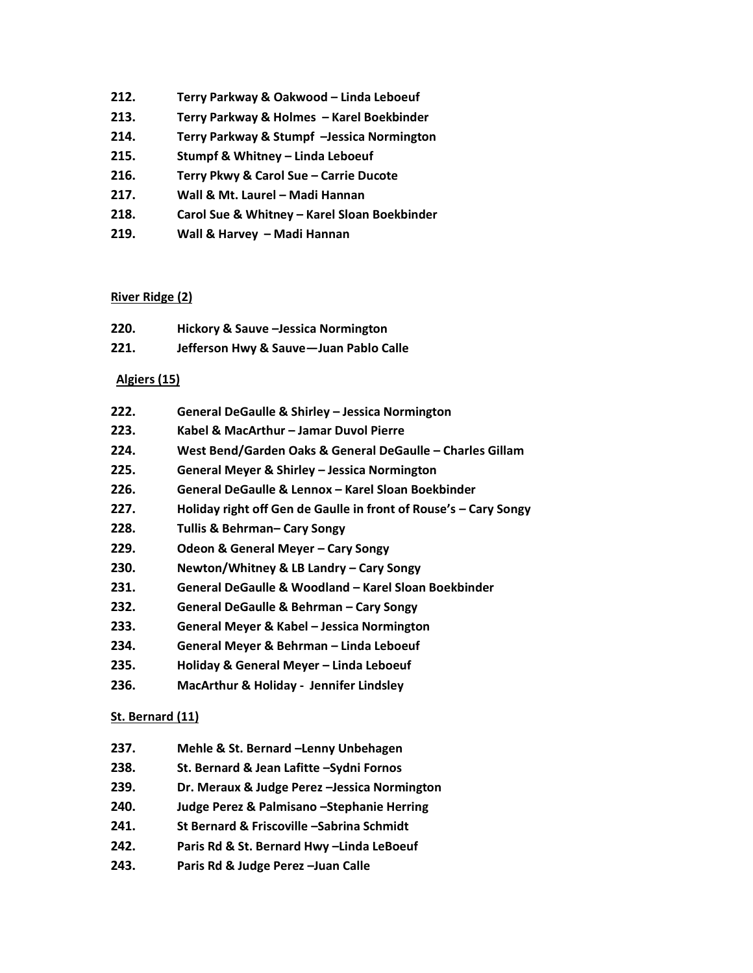- **212. Terry Parkway & Oakwood – Linda Leboeuf**
- **213. Terry Parkway & Holmes – Karel Boekbinder**
- **214. Terry Parkway & Stumpf –Jessica Normington**
- **215. Stumpf & Whitney – Linda Leboeuf**
- **216. Terry Pkwy & Carol Sue – Carrie Ducote**
- **217. Wall & Mt. Laurel – Madi Hannan**
- **218. Carol Sue & Whitney – Karel Sloan Boekbinder**
- **219. Wall & Harvey – Madi Hannan**

## **River Ridge (2)**

| 220. | Hickory & Sauve - Jessica Normington   |
|------|----------------------------------------|
| 221. | Jefferson Hwy & Sauve-Juan Pablo Calle |

## **Algiers (15)**

| 222. | General DeGaulle & Shirley - Jessica Normington |  |
|------|-------------------------------------------------|--|
|      |                                                 |  |

- **223. Kabel & MacArthur – Jamar Duvol Pierre**
- **224. West Bend/Garden Oaks & General DeGaulle – Charles Gillam**
- **225. General Meyer & Shirley – Jessica Normington**
- **226. General DeGaulle & Lennox – Karel Sloan Boekbinder**
- **227. Holiday right off Gen de Gaulle in front of Rouse's – Cary Songy**
- **228. Tullis & Behrman– Cary Songy**
- **229. Odeon & General Meyer – Cary Songy**
- **230. Newton/Whitney & LB Landry – Cary Songy**
- **231. General DeGaulle & Woodland – Karel Sloan Boekbinder**
- **232. General DeGaulle & Behrman – Cary Songy**
- **233. General Meyer & Kabel – Jessica Normington**
- **234. General Meyer & Behrman – Linda Leboeuf**
- **235. Holiday & General Meyer – Linda Leboeuf**
- **236. MacArthur & Holiday Jennifer Lindsley**

# **St. Bernard (11)**

- **237. Mehle & St. Bernard –Lenny Unbehagen**
- **238. St. Bernard & Jean Lafitte –Sydni Fornos**
- **239. Dr. Meraux & Judge Perez –Jessica Normington**
- **240. Judge Perez & Palmisano –Stephanie Herring**
- **241. St Bernard & Friscoville –Sabrina Schmidt**
- **242. Paris Rd & St. Bernard Hwy –Linda LeBoeuf**
- **243. Paris Rd & Judge Perez –Juan Calle**